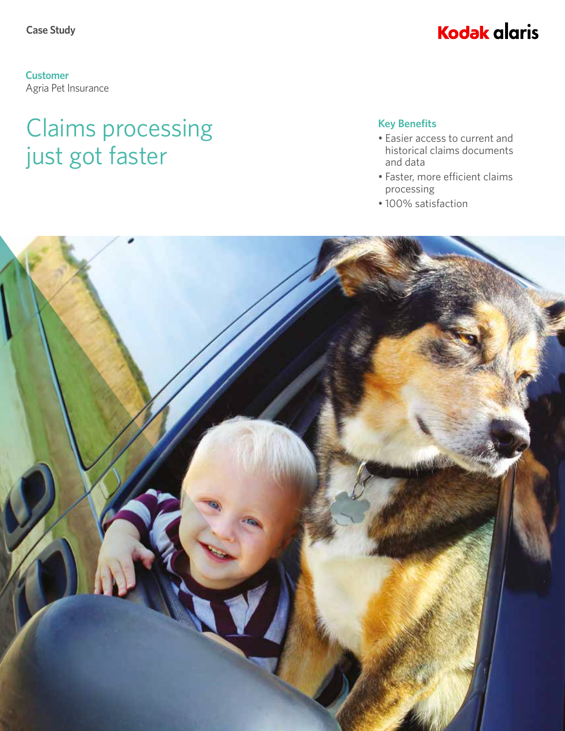### **Kodak alaris**

**Customer** Agria Pet Insurance

## Claims processing just got faster

#### **Key Benefits**

- Easier access to current and historical claims documents and data
- Faster, more efficient claims processing
- 100% satisfaction